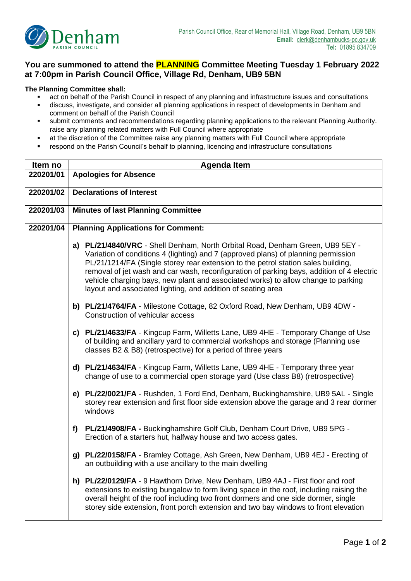

## **You are summoned to attend the PLANNING Committee Meeting Tuesday 1 February 2022 at 7:00pm in Parish Council Office, Village Rd, Denham, UB9 5BN**

## **The Planning Committee shall:**

- act on behalf of the Parish Council in respect of any planning and infrastructure issues and consultations
- discuss, investigate, and consider all planning applications in respect of developments in Denham and comment on behalf of the Parish Council
- submit comments and recommendations regarding planning applications to the relevant Planning Authority. raise any planning related matters with Full Council where appropriate
- at the discretion of the Committee raise any planning matters with Full Council where appropriate
- respond on the Parish Council's behalf to planning, licencing and infrastructure consultations

| Item no   | <b>Agenda Item</b>                                                                                                                                                                                                                                                                                                                                                                                                                                                                                         |  |  |
|-----------|------------------------------------------------------------------------------------------------------------------------------------------------------------------------------------------------------------------------------------------------------------------------------------------------------------------------------------------------------------------------------------------------------------------------------------------------------------------------------------------------------------|--|--|
| 220201/01 | <b>Apologies for Absence</b>                                                                                                                                                                                                                                                                                                                                                                                                                                                                               |  |  |
| 220201/02 | <b>Declarations of Interest</b>                                                                                                                                                                                                                                                                                                                                                                                                                                                                            |  |  |
| 220201/03 | <b>Minutes of last Planning Committee</b>                                                                                                                                                                                                                                                                                                                                                                                                                                                                  |  |  |
| 220201/04 | <b>Planning Applications for Comment:</b>                                                                                                                                                                                                                                                                                                                                                                                                                                                                  |  |  |
|           | a) PL/21/4840/VRC - Shell Denham, North Orbital Road, Denham Green, UB9 5EY -<br>Variation of conditions 4 (lighting) and 7 (approved plans) of planning permission<br>PL/21/1214/FA (Single storey rear extension to the petrol station sales building,<br>removal of jet wash and car wash, reconfiguration of parking bays, addition of 4 electric<br>vehicle charging bays, new plant and associated works) to allow change to parking<br>layout and associated lighting, and addition of seating area |  |  |
|           | b) PL/21/4764/FA - Milestone Cottage, 82 Oxford Road, New Denham, UB9 4DW -<br>Construction of vehicular access                                                                                                                                                                                                                                                                                                                                                                                            |  |  |
|           | c) PL/21/4633/FA - Kingcup Farm, Willetts Lane, UB9 4HE - Temporary Change of Use<br>of building and ancillary yard to commercial workshops and storage (Planning use<br>classes B2 & B8) (retrospective) for a period of three years                                                                                                                                                                                                                                                                      |  |  |
|           | d) PL/21/4634/FA - Kingcup Farm, Willetts Lane, UB9 4HE - Temporary three year<br>change of use to a commercial open storage yard (Use class B8) (retrospective)                                                                                                                                                                                                                                                                                                                                           |  |  |
|           | e) PL/22/0021/FA - Rushden, 1 Ford End, Denham, Buckinghamshire, UB9 5AL - Single<br>storey rear extension and first floor side extension above the garage and 3 rear dormer<br>windows                                                                                                                                                                                                                                                                                                                    |  |  |
|           | PL/21/4908/FA - Buckinghamshire Golf Club, Denham Court Drive, UB9 5PG -<br>f<br>Erection of a starters hut, halfway house and two access gates.                                                                                                                                                                                                                                                                                                                                                           |  |  |
|           | g) PL/22/0158/FA - Bramley Cottage, Ash Green, New Denham, UB9 4EJ - Erecting of<br>an outbuilding with a use ancillary to the main dwelling                                                                                                                                                                                                                                                                                                                                                               |  |  |
|           | h) PL/22/0129/FA - 9 Hawthorn Drive, New Denham, UB9 4AJ - First floor and roof<br>extensions to existing bungalow to form living space in the roof, including raising the<br>overall height of the roof including two front dormers and one side dormer, single<br>storey side extension, front porch extension and two bay windows to front elevation                                                                                                                                                    |  |  |